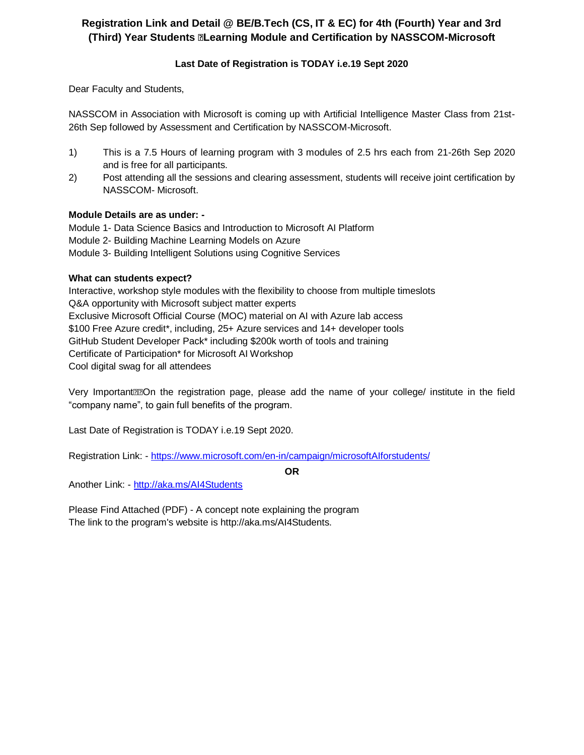### **Registration Link and Detail @ BE/B.Tech (CS, IT & EC) for 4th (Fourth) Year and 3rd (Third) Year Students Learning Module and Certification by NASSCOM-Microsoft**

### **Last Date of Registration is TODAY i.e.19 Sept 2020**

Dear Faculty and Students,

NASSCOM in Association with Microsoft is coming up with Artificial Intelligence Master Class from 21st-26th Sep followed by Assessment and Certification by NASSCOM-Microsoft.

- 1) This is a 7.5 Hours of learning program with 3 modules of 2.5 hrs each from 21-26th Sep 2020 and is free for all participants.
- 2) Post attending all the sessions and clearing assessment, students will receive joint certification by NASSCOM- Microsoft.

#### **Module Details are as under: -**

Module 1- Data Science Basics and Introduction to Microsoft AI Platform Module 2- Building Machine Learning Models on Azure Module 3- Building Intelligent Solutions using Cognitive Services

#### **What can students expect?**

Interactive, workshop style modules with the flexibility to choose from multiple timeslots Q&A opportunity with Microsoft subject matter experts Exclusive Microsoft Official Course (MOC) material on AI with Azure lab access \$100 Free Azure credit\*, including, 25+ Azure services and 14+ developer tools GitHub Student Developer Pack\* including \$200k worth of tools and training Certificate of Participation\* for Microsoft AI Workshop Cool digital swag for all attendees

Very Important **Manuform the registration page, please add the name of your college/ institute in the field** "company name", to gain full benefits of the program.

Last Date of Registration is TODAY i.e.19 Sept 2020.

Registration Link: - <https://www.microsoft.com/en-in/campaign/microsoftAIforstudents/>

**OR**

Another Link: - <http://aka.ms/AI4Students>

Please Find Attached (PDF) - A concept note explaining the program The link to the program's website is http://aka.ms/AI4Students.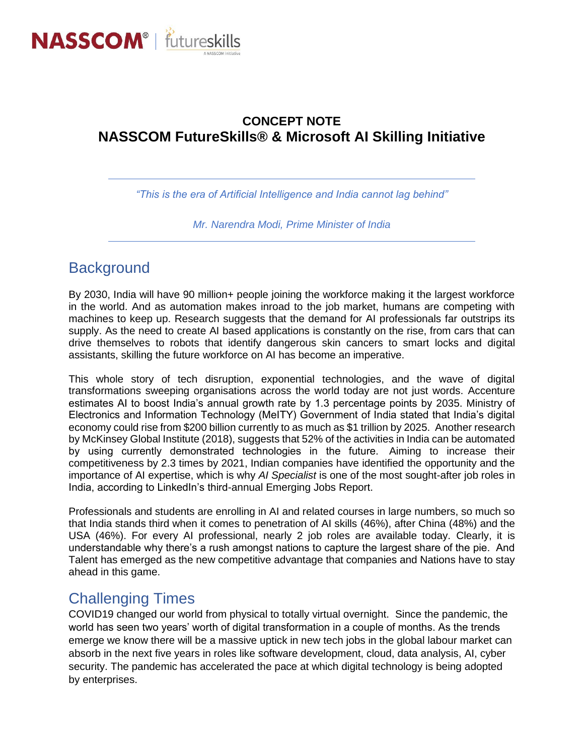

## **CONCEPT NOTE NASSCOM FutureSkills® & Microsoft AI Skilling Initiative**

*"This is the era of Artificial Intelligence and India cannot lag behind"*

*Mr. Narendra Modi, Prime Minister of India*

# **Background**

By 2030, India will have 90 million+ people joining the workforce making it the largest workforce in the world. And as automation makes inroad to the job market, humans are competing with machines to keep up. Research suggests that the demand for AI professionals far outstrips its supply. As the need to create AI based applications is constantly on the rise, from cars that can drive themselves to robots that identify dangerous skin cancers to smart locks and digital assistants, skilling the future workforce on AI has become an imperative.

This whole story of tech disruption, exponential technologies, and the wave of digital transformations sweeping organisations across the world today are not just words. Accenture estimates AI to boost India's annual growth rate by 1.3 percentage points by 2035. Ministry of Electronics and Information Technology (MeITY) Government of India stated that India's digital economy could rise from \$200 billion currently to as much as \$1 trillion by 2025. Another research by McKinsey Global Institute (2018), suggests that 52% of the activities in India can be automated by using currently demonstrated technologies in the future.  Aiming to increase their competitiveness by 2.3 times by 2021, Indian companies have identified the opportunity and the importance of AI expertise, which is why *AI Specialist* is one of the most sought-after job roles in India, according to LinkedIn's third-annual Emerging Jobs Report.

Professionals and students are enrolling in AI and related courses in large numbers, so much so that India stands third when it comes to penetration of AI skills (46%), after China (48%) and the USA (46%). For every AI professional, nearly 2 job roles are available today. Clearly, it is understandable why there's a rush amongst nations to capture the largest share of the pie. And Talent has emerged as the new competitive advantage that companies and Nations have to stay ahead in this game.

# Challenging Times

COVID19 changed our world from physical to totally virtual overnight. Since the pandemic, the world has seen two years' worth of digital transformation in a couple of months. As the trends emerge we know there will be a massive uptick in new tech jobs in the global labour market can absorb in the next five years in roles like software development, cloud, data analysis, AI, cyber security. The pandemic has accelerated the pace at which digital technology is being adopted by enterprises.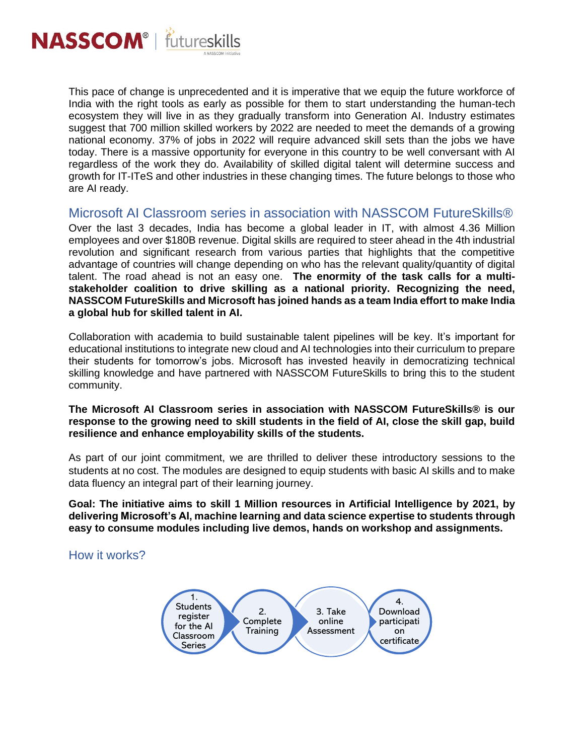

This pace of change is unprecedented and it is imperative that we equip the future workforce of India with the right tools as early as possible for them to start understanding the human-tech ecosystem they will live in as they gradually transform into Generation AI. Industry estimates suggest that 700 million skilled workers by 2022 are needed to meet the demands of a growing national economy. 37% of jobs in 2022 will require advanced skill sets than the jobs we have today. There is a massive opportunity for everyone in this country to be well conversant with AI regardless of the work they do. Availability of skilled digital talent will determine success and growth for IT-ITeS and other industries in these changing times. The future belongs to those who are AI ready.

## Microsoft AI Classroom series in association with NASSCOM FutureSkills®

Over the last 3 decades, India has become a global leader in IT, with almost 4.36 Million employees and over \$180B revenue. Digital skills are required to steer ahead in the 4th industrial revolution and significant research from various parties that highlights that the competitive advantage of countries will change depending on who has the relevant quality/quantity of digital talent. The road ahead is not an easy one. **The enormity of the task calls for a multistakeholder coalition to drive skilling as a national priority. Recognizing the need, NASSCOM FutureSkills and Microsoft has joined hands as a team India effort to make India a global hub for skilled talent in AI.**

Collaboration with academia to build sustainable talent pipelines will be key. It's important for educational institutions to integrate new cloud and AI technologies into their curriculum to prepare their students for tomorrow's jobs. Microsoft has invested heavily in democratizing technical skilling knowledge and have partnered with NASSCOM FutureSkills to bring this to the student community.

### **The Microsoft AI Classroom series in association with NASSCOM FutureSkills® is our response to the growing need to skill students in the field of AI, close the skill gap, build resilience and enhance employability skills of the students.**

As part of our joint commitment, we are thrilled to deliver these introductory sessions to the students at no cost. The modules are designed to equip students with basic AI skills and to make data fluency an integral part of their learning journey.

**Goal: The initiative aims to skill 1 Million resources in Artificial Intelligence by 2021, by delivering Microsoft's AI, machine learning and data science expertise to students through easy to consume modules including live demos, hands on workshop and assignments.**

How it works?